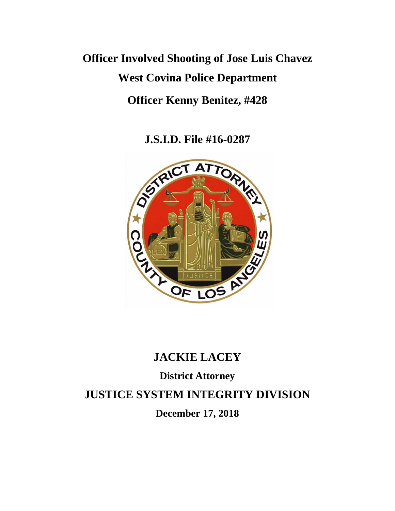# **Officer Involved Shooting of Jose Luis Chavez West Covina Police Department Officer Kenny Benitez, #428**

**J.S.I.D. File #16-0287**



## **JACKIE LACEY**

### **District Attorney**

**JUSTICE SYSTEM INTEGRITY DIVISION**

**December 17, 2018**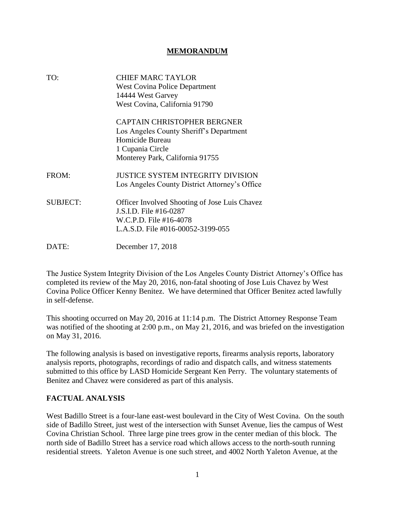#### **MEMORANDUM**

| TO:             | <b>CHIEF MARC TAYLOR</b>                      |
|-----------------|-----------------------------------------------|
|                 | <b>West Covina Police Department</b>          |
|                 | 14444 West Garvey                             |
|                 | West Covina, California 91790                 |
|                 | <b>CAPTAIN CHRISTOPHER BERGNER</b>            |
|                 | Los Angeles County Sheriff's Department       |
|                 | Homicide Bureau                               |
|                 | 1 Cupania Circle                              |
|                 | Monterey Park, California 91755               |
| FROM:           | <b>JUSTICE SYSTEM INTEGRITY DIVISION</b>      |
|                 | Los Angeles County District Attorney's Office |
| <b>SUBJECT:</b> | Officer Involved Shooting of Jose Luis Chavez |
|                 | J.S.I.D. File #16-0287                        |
|                 | W.C.P.D. File #16-4078                        |
|                 | L.A.S.D. File #016-00052-3199-055             |
| DATE:           | December 17, 2018                             |

The Justice System Integrity Division of the Los Angeles County District Attorney's Office has completed its review of the May 20, 2016, non-fatal shooting of Jose Luis Chavez by West Covina Police Officer Kenny Benitez. We have determined that Officer Benitez acted lawfully in self-defense.

This shooting occurred on May 20, 2016 at 11:14 p.m. The District Attorney Response Team was notified of the shooting at 2:00 p.m., on May 21, 2016, and was briefed on the investigation on May 31, 2016.

The following analysis is based on investigative reports, firearms analysis reports, laboratory analysis reports, photographs, recordings of radio and dispatch calls, and witness statements submitted to this office by LASD Homicide Sergeant Ken Perry. The voluntary statements of Benitez and Chavez were considered as part of this analysis.

#### **FACTUAL ANALYSIS**

West Badillo Street is a four-lane east-west boulevard in the City of West Covina. On the south side of Badillo Street, just west of the intersection with Sunset Avenue, lies the campus of West Covina Christian School. Three large pine trees grow in the center median of this block. The north side of Badillo Street has a service road which allows access to the north-south running residential streets. Yaleton Avenue is one such street, and 4002 North Yaleton Avenue, at the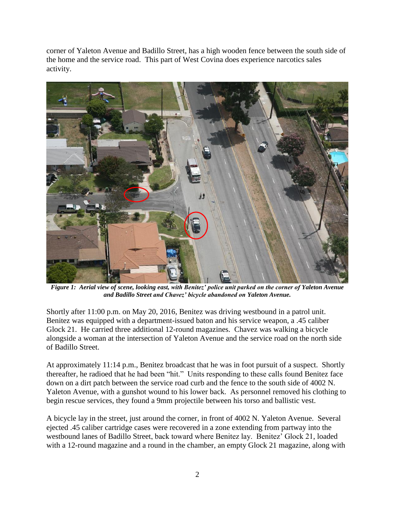corner of Yaleton Avenue and Badillo Street, has a high wooden fence between the south side of the home and the service road. This part of West Covina does experience narcotics sales activity.



*Figure 1: Aerial view of scene, looking east, with Benitez' police unit parked on the corner of Yaleton Avenue and Badillo Street and Chavez' bicycle abandoned on Yaleton Avenue.*

Shortly after 11:00 p.m. on May 20, 2016, Benitez was driving westbound in a patrol unit. Benitez was equipped with a department-issued baton and his service weapon, a .45 caliber Glock 21. He carried three additional 12-round magazines. Chavez was walking a bicycle alongside a woman at the intersection of Yaleton Avenue and the service road on the north side of Badillo Street.

At approximately 11:14 p.m., Benitez broadcast that he was in foot pursuit of a suspect. Shortly thereafter, he radioed that he had been "hit." Units responding to these calls found Benitez face down on a dirt patch between the service road curb and the fence to the south side of 4002 N. Yaleton Avenue, with a gunshot wound to his lower back. As personnel removed his clothing to begin rescue services, they found a 9mm projectile between his torso and ballistic vest.

A bicycle lay in the street, just around the corner, in front of 4002 N. Yaleton Avenue. Several ejected .45 caliber cartridge cases were recovered in a zone extending from partway into the westbound lanes of Badillo Street, back toward where Benitez lay. Benitez' Glock 21, loaded with a 12-round magazine and a round in the chamber, an empty Glock 21 magazine, along with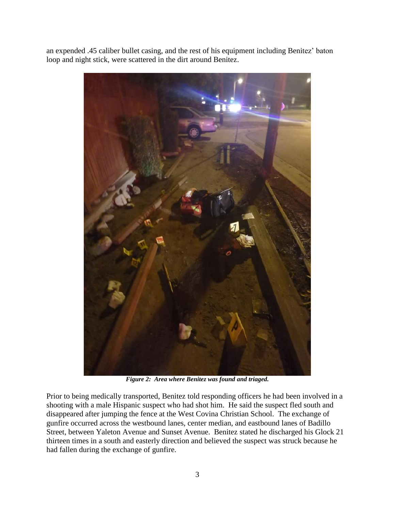an expended .45 caliber bullet casing, and the rest of his equipment including Benitez' baton loop and night stick, were scattered in the dirt around Benitez.



*Figure 2: Area where Benitez was found and triaged.*

Prior to being medically transported, Benitez told responding officers he had been involved in a shooting with a male Hispanic suspect who had shot him. He said the suspect fled south and disappeared after jumping the fence at the West Covina Christian School. The exchange of gunfire occurred across the westbound lanes, center median, and eastbound lanes of Badillo Street, between Yaleton Avenue and Sunset Avenue. Benitez stated he discharged his Glock 21 thirteen times in a south and easterly direction and believed the suspect was struck because he had fallen during the exchange of gunfire.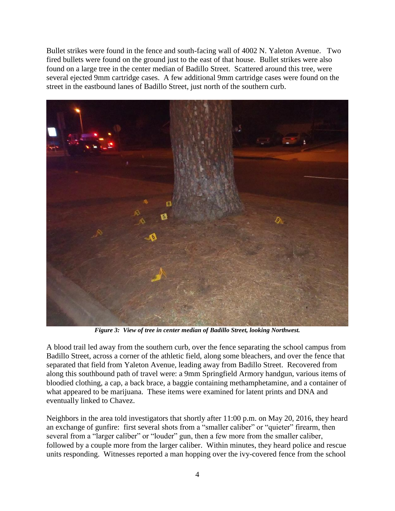Bullet strikes were found in the fence and south-facing wall of 4002 N. Yaleton Avenue. Two fired bullets were found on the ground just to the east of that house. Bullet strikes were also found on a large tree in the center median of Badillo Street. Scattered around this tree, were several ejected 9mm cartridge cases. A few additional 9mm cartridge cases were found on the street in the eastbound lanes of Badillo Street, just north of the southern curb.



*Figure 3: View of tree in center median of Badillo Street, looking Northwest.*

A blood trail led away from the southern curb, over the fence separating the school campus from Badillo Street, across a corner of the athletic field, along some bleachers, and over the fence that separated that field from Yaleton Avenue, leading away from Badillo Street. Recovered from along this southbound path of travel were: a 9mm Springfield Armory handgun, various items of bloodied clothing, a cap, a back brace, a baggie containing methamphetamine, and a container of what appeared to be marijuana. These items were examined for latent prints and DNA and eventually linked to Chavez.

Neighbors in the area told investigators that shortly after 11:00 p.m. on May 20, 2016, they heard an exchange of gunfire: first several shots from a "smaller caliber" or "quieter" firearm, then several from a "larger caliber" or "louder" gun, then a few more from the smaller caliber, followed by a couple more from the larger caliber. Within minutes, they heard police and rescue units responding. Witnesses reported a man hopping over the ivy-covered fence from the school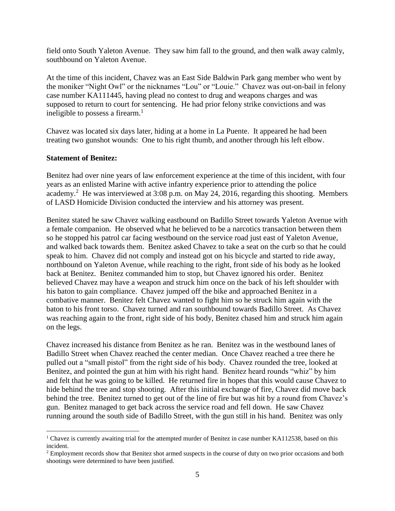field onto South Yaleton Avenue. They saw him fall to the ground, and then walk away calmly, southbound on Yaleton Avenue.

At the time of this incident, Chavez was an East Side Baldwin Park gang member who went by the moniker "Night Owl" or the nicknames "Lou" or "Louie." Chavez was out-on-bail in felony case number KA111445, having plead no contest to drug and weapons charges and was supposed to return to court for sentencing. He had prior felony strike convictions and was ineligible to possess a firearm. $<sup>1</sup>$ </sup>

Chavez was located six days later, hiding at a home in La Puente. It appeared he had been treating two gunshot wounds: One to his right thumb, and another through his left elbow.

#### **Statement of Benitez:**

Benitez had over nine years of law enforcement experience at the time of this incident, with four years as an enlisted Marine with active infantry experience prior to attending the police academy.<sup>2</sup> He was interviewed at 3:08 p.m. on May 24, 2016, regarding this shooting. Members of LASD Homicide Division conducted the interview and his attorney was present.

Benitez stated he saw Chavez walking eastbound on Badillo Street towards Yaleton Avenue with a female companion. He observed what he believed to be a narcotics transaction between them so he stopped his patrol car facing westbound on the service road just east of Yaleton Avenue, and walked back towards them. Benitez asked Chavez to take a seat on the curb so that he could speak to him. Chavez did not comply and instead got on his bicycle and started to ride away, northbound on Yaleton Avenue, while reaching to the right, front side of his body as he looked back at Benitez. Benitez commanded him to stop, but Chavez ignored his order. Benitez believed Chavez may have a weapon and struck him once on the back of his left shoulder with his baton to gain compliance. Chavez jumped off the bike and approached Benitez in a combative manner. Benitez felt Chavez wanted to fight him so he struck him again with the baton to his front torso. Chavez turned and ran southbound towards Badillo Street. As Chavez was reaching again to the front, right side of his body, Benitez chased him and struck him again on the legs.

Chavez increased his distance from Benitez as he ran. Benitez was in the westbound lanes of Badillo Street when Chavez reached the center median. Once Chavez reached a tree there he pulled out a "small pistol" from the right side of his body. Chavez rounded the tree, looked at Benitez, and pointed the gun at him with his right hand. Benitez heard rounds "whiz" by him and felt that he was going to be killed. He returned fire in hopes that this would cause Chavez to hide behind the tree and stop shooting. After this initial exchange of fire, Chavez did move back behind the tree. Benitez turned to get out of the line of fire but was hit by a round from Chavez's gun. Benitez managed to get back across the service road and fell down. He saw Chavez running around the south side of Badillo Street, with the gun still in his hand. Benitez was only

<sup>&</sup>lt;sup>1</sup> Chavez is currently awaiting trial for the attempted murder of Benitez in case number KA112538, based on this incident.

<sup>&</sup>lt;sup>2</sup> Employment records show that Benitez shot armed suspects in the course of duty on two prior occasions and both shootings were determined to have been justified.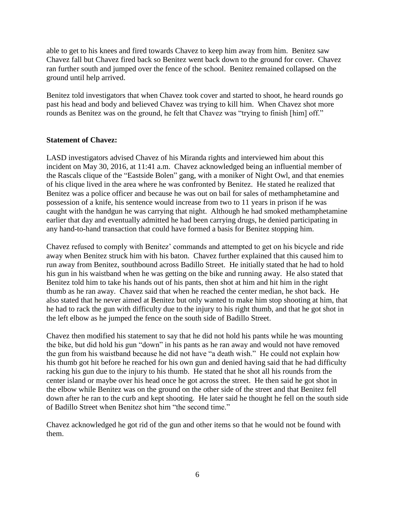able to get to his knees and fired towards Chavez to keep him away from him. Benitez saw Chavez fall but Chavez fired back so Benitez went back down to the ground for cover. Chavez ran further south and jumped over the fence of the school. Benitez remained collapsed on the ground until help arrived.

Benitez told investigators that when Chavez took cover and started to shoot, he heard rounds go past his head and body and believed Chavez was trying to kill him. When Chavez shot more rounds as Benitez was on the ground, he felt that Chavez was "trying to finish [him] off."

#### **Statement of Chavez:**

LASD investigators advised Chavez of his Miranda rights and interviewed him about this incident on May 30, 2016, at 11:41 a.m. Chavez acknowledged being an influential member of the Rascals clique of the "Eastside Bolen" gang, with a moniker of Night Owl, and that enemies of his clique lived in the area where he was confronted by Benitez. He stated he realized that Benitez was a police officer and because he was out on bail for sales of methamphetamine and possession of a knife, his sentence would increase from two to 11 years in prison if he was caught with the handgun he was carrying that night. Although he had smoked methamphetamine earlier that day and eventually admitted he had been carrying drugs, he denied participating in any hand-to-hand transaction that could have formed a basis for Benitez stopping him.

Chavez refused to comply with Benitez' commands and attempted to get on his bicycle and ride away when Benitez struck him with his baton. Chavez further explained that this caused him to run away from Benitez, southbound across Badillo Street. He initially stated that he had to hold his gun in his waistband when he was getting on the bike and running away. He also stated that Benitez told him to take his hands out of his pants, then shot at him and hit him in the right thumb as he ran away. Chavez said that when he reached the center median, he shot back. He also stated that he never aimed at Benitez but only wanted to make him stop shooting at him, that he had to rack the gun with difficulty due to the injury to his right thumb, and that he got shot in the left elbow as he jumped the fence on the south side of Badillo Street.

Chavez then modified his statement to say that he did not hold his pants while he was mounting the bike, but did hold his gun "down" in his pants as he ran away and would not have removed the gun from his waistband because he did not have "a death wish." He could not explain how his thumb got hit before he reached for his own gun and denied having said that he had difficulty racking his gun due to the injury to his thumb. He stated that he shot all his rounds from the center island or maybe over his head once he got across the street. He then said he got shot in the elbow while Benitez was on the ground on the other side of the street and that Benitez fell down after he ran to the curb and kept shooting. He later said he thought he fell on the south side of Badillo Street when Benitez shot him "the second time."

Chavez acknowledged he got rid of the gun and other items so that he would not be found with them.